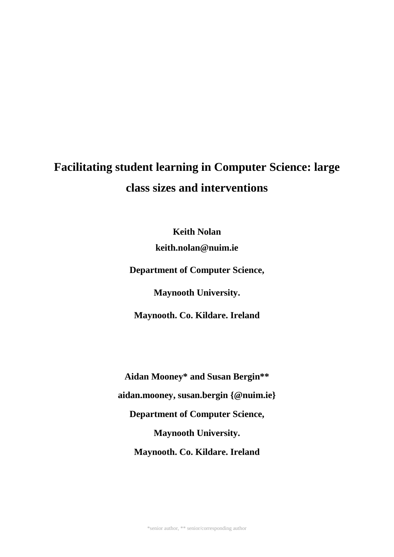# **Facilitating student learning in Computer Science: large class sizes and interventions**

**Keith Nolan keith.nolan@nuim.ie**

**Department of Computer Science,**

**Maynooth University.**

**Maynooth. Co. Kildare. Ireland**

**Aidan Mooney\* and Susan Bergin\*\* aidan.mooney, susan.bergin {@nuim.ie} Department of Computer Science, Maynooth University. Maynooth. Co. Kildare. Ireland**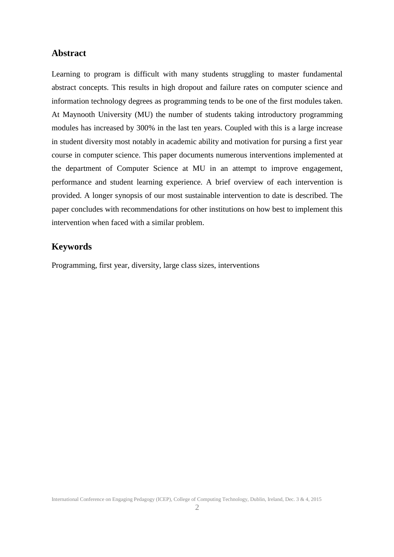# **Abstract**

Learning to program is difficult with many students struggling to master fundamental abstract concepts. This results in high dropout and failure rates on computer science and information technology degrees as programming tends to be one of the first modules taken. At Maynooth University (MU) the number of students taking introductory programming modules has increased by 300% in the last ten years. Coupled with this is a large increase in student diversity most notably in academic ability and motivation for pursing a first year course in computer science. This paper documents numerous interventions implemented at the department of Computer Science at MU in an attempt to improve engagement, performance and student learning experience. A brief overview of each intervention is provided. A longer synopsis of our most sustainable intervention to date is described. The paper concludes with recommendations for other institutions on how best to implement this intervention when faced with a similar problem.

# **Keywords**

Programming, first year, diversity, large class sizes, interventions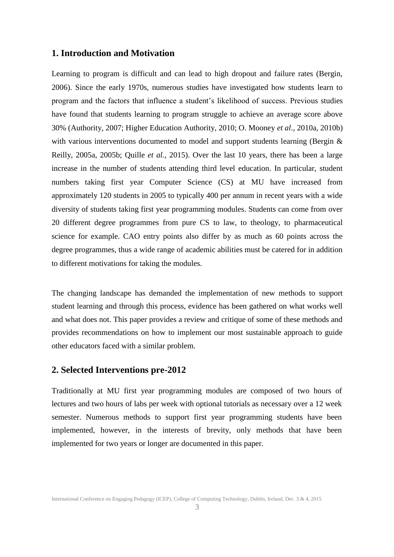#### **1. Introduction and Motivation**

Learning to program is difficult and can lead to high dropout and failure rates (Bergin, 2006). Since the early 1970s, numerous studies have investigated how students learn to program and the factors that influence a student's likelihood of success. Previous studies have found that students learning to program struggle to achieve an average score above 30% (Authority, 2007; Higher Education Authority, 2010; O. Mooney *et al*., 2010a, 2010b) with various interventions documented to model and support students learning (Bergin & Reilly, 2005a, 2005b; Quille *et al.*, 2015). Over the last 10 years, there has been a large increase in the number of students attending third level education. In particular, student numbers taking first year Computer Science (CS) at MU have increased from approximately 120 students in 2005 to typically 400 per annum in recent years with a wide diversity of students taking first year programming modules. Students can come from over 20 different degree programmes from pure CS to law, to theology, to pharmaceutical science for example. CAO entry points also differ by as much as 60 points across the degree programmes, thus a wide range of academic abilities must be catered for in addition to different motivations for taking the modules.

The changing landscape has demanded the implementation of new methods to support student learning and through this process, evidence has been gathered on what works well and what does not. This paper provides a review and critique of some of these methods and provides recommendations on how to implement our most sustainable approach to guide other educators faced with a similar problem.

#### **2. Selected Interventions pre-2012**

Traditionally at MU first year programming modules are composed of two hours of lectures and two hours of labs per week with optional tutorials as necessary over a 12 week semester. Numerous methods to support first year programming students have been implemented, however, in the interests of brevity, only methods that have been implemented for two years or longer are documented in this paper.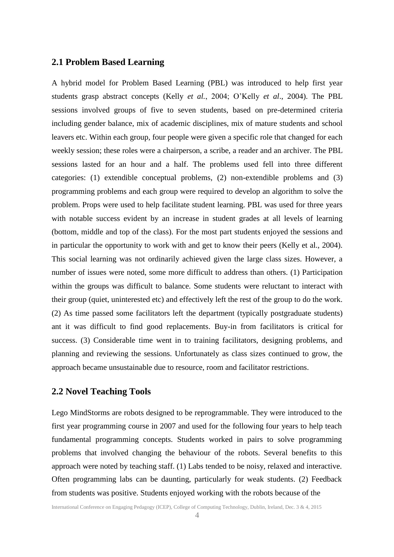# **2.1 Problem Based Learning**

A hybrid model for Problem Based Learning (PBL) was introduced to help first year students grasp abstract concepts (Kelly *et al.*, 2004; O'Kelly *et al*., 2004). The PBL sessions involved groups of five to seven students, based on pre-determined criteria including gender balance, mix of academic disciplines, mix of mature students and school leavers etc. Within each group, four people were given a specific role that changed for each weekly session; these roles were a chairperson, a scribe, a reader and an archiver. The PBL sessions lasted for an hour and a half. The problems used fell into three different categories: (1) extendible conceptual problems, (2) non-extendible problems and (3) programming problems and each group were required to develop an algorithm to solve the problem. Props were used to help facilitate student learning. PBL was used for three years with notable success evident by an increase in student grades at all levels of learning (bottom, middle and top of the class). For the most part students enjoyed the sessions and in particular the opportunity to work with and get to know their peers (Kelly et al., 2004). This social learning was not ordinarily achieved given the large class sizes. However, a number of issues were noted, some more difficult to address than others. (1) Participation within the groups was difficult to balance. Some students were reluctant to interact with their group (quiet, uninterested etc) and effectively left the rest of the group to do the work. (2) As time passed some facilitators left the department (typically postgraduate students) ant it was difficult to find good replacements. Buy-in from facilitators is critical for success. (3) Considerable time went in to training facilitators, designing problems, and planning and reviewing the sessions. Unfortunately as class sizes continued to grow, the approach became unsustainable due to resource, room and facilitator restrictions.

# **2.2 Novel Teaching Tools**

Lego MindStorms are robots designed to be reprogrammable. They were introduced to the first year programming course in 2007 and used for the following four years to help teach fundamental programming concepts. Students worked in pairs to solve programming problems that involved changing the behaviour of the robots. Several benefits to this approach were noted by teaching staff. (1) Labs tended to be noisy, relaxed and interactive. Often programming labs can be daunting, particularly for weak students. (2) Feedback from students was positive. Students enjoyed working with the robots because of the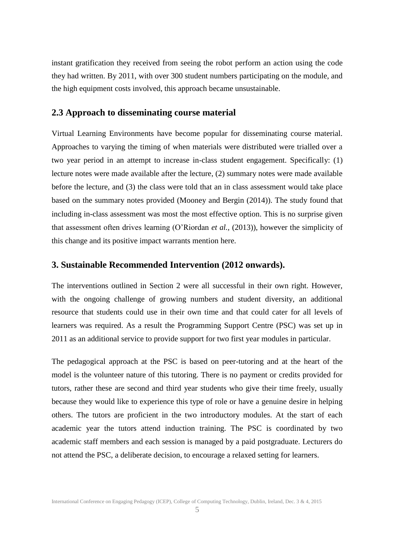instant gratification they received from seeing the robot perform an action using the code they had written. By 2011, with over 300 student numbers participating on the module, and the high equipment costs involved, this approach became unsustainable.

#### **2.3 Approach to disseminating course material**

Virtual Learning Environments have become popular for disseminating course material. Approaches to varying the timing of when materials were distributed were trialled over a two year period in an attempt to increase in-class student engagement. Specifically: (1) lecture notes were made available after the lecture, (2) summary notes were made available before the lecture, and (3) the class were told that an in class assessment would take place based on the summary notes provided (Mooney and Bergin (2014)). The study found that including in-class assessment was most the most effective option. This is no surprise given that assessment often drives learning (O'Riordan *et al.,* (2013)), however the simplicity of this change and its positive impact warrants mention here.

#### **3. Sustainable Recommended Intervention (2012 onwards).**

The interventions outlined in Section 2 were all successful in their own right. However, with the ongoing challenge of growing numbers and student diversity, an additional resource that students could use in their own time and that could cater for all levels of learners was required. As a result the Programming Support Centre (PSC) was set up in 2011 as an additional service to provide support for two first year modules in particular.

The pedagogical approach at the PSC is based on peer-tutoring and at the heart of the model is the volunteer nature of this tutoring. There is no payment or credits provided for tutors, rather these are second and third year students who give their time freely, usually because they would like to experience this type of role or have a genuine desire in helping others. The tutors are proficient in the two introductory modules. At the start of each academic year the tutors attend induction training. The PSC is coordinated by two academic staff members and each session is managed by a paid postgraduate. Lecturers do not attend the PSC, a deliberate decision, to encourage a relaxed setting for learners.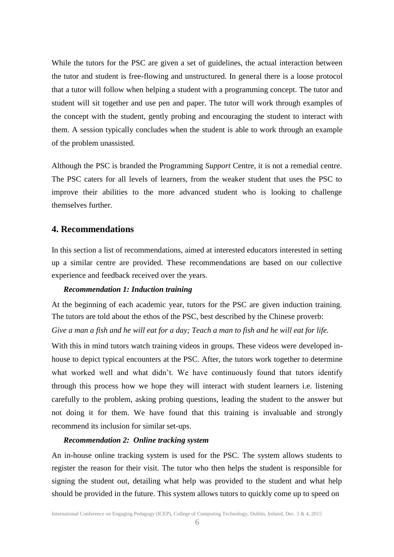While the tutors for the PSC are given a set of guidelines, the actual interaction between the tutor and student is free-flowing and unstructured. In general there is a loose protocol that a tutor will follow when helping a student with a programming concept. The tutor and student will sit together and use pen and paper. The tutor will work through examples of the concept with the student, gently probing and encouraging the student to interact with them. A session typically concludes when the student is able to work through an example of the problem unassisted.

Although the PSC is branded the Programming *Support* Centre, it is not a remedial centre. The PSC caters for all levels of learners, from the weaker student that uses the PSC to improve their abilities to the more advanced student who is looking to challenge themselves further.

# **4. Recommendations**

In this section a list of recommendations, aimed at interested educators interested in setting up a similar centre are provided. These recommendations are based on our collective experience and feedback received over the years.

#### *Recommendation 1: Induction training*

At the beginning of each academic year, tutors for the PSC are given induction training. The tutors are told about the ethos of the PSC, best described by the Chinese proverb:

*Give a man a fish and he will eat for a day; Teach a man to fish and he will eat for life.*

With this in mind tutors watch training videos in groups. These videos were developed inhouse to depict typical encounters at the PSC. After, the tutors work together to determine what worked well and what didn't. We have continuously found that tutors identify through this process how we hope they will interact with student learners i.e. listening carefully to the problem, asking probing questions, leading the student to the answer but not doing it for them. We have found that this training is invaluable and strongly recommend its inclusion for similar set-ups.

#### *Recommendation 2: Online tracking system*

An in-house online tracking system is used for the PSC. The system allows students to register the reason for their visit. The tutor who then helps the student is responsible for signing the student out, detailing what help was provided to the student and what help should be provided in the future. This system allows tutors to quickly come up to speed on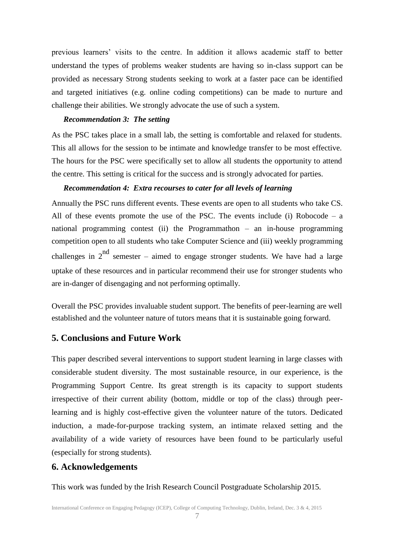previous learners' visits to the centre. In addition it allows academic staff to better understand the types of problems weaker students are having so in-class support can be provided as necessary Strong students seeking to work at a faster pace can be identified and targeted initiatives (e.g. online coding competitions) can be made to nurture and challenge their abilities. We strongly advocate the use of such a system.

#### *Recommendation 3: The setting*

As the PSC takes place in a small lab, the setting is comfortable and relaxed for students. This all allows for the session to be intimate and knowledge transfer to be most effective. The hours for the PSC were specifically set to allow all students the opportunity to attend the centre. This setting is critical for the success and is strongly advocated for parties.

#### *Recommendation 4: Extra recourses to cater for all levels of learning*

Annually the PSC runs different events. These events are open to all students who take CS. All of these events promote the use of the PSC. The events include (i) Robocode – a national programming contest (ii) the Programmathon – an in-house programming competition open to all students who take Computer Science and (iii) weekly programming challenges in  $2^{nd}$  semester – aimed to engage stronger students. We have had a large uptake of these resources and in particular recommend their use for stronger students who are in-danger of disengaging and not performing optimally.

Overall the PSC provides invaluable student support. The benefits of peer-learning are well established and the volunteer nature of tutors means that it is sustainable going forward.

## **5. Conclusions and Future Work**

This paper described several interventions to support student learning in large classes with considerable student diversity. The most sustainable resource, in our experience, is the Programming Support Centre. Its great strength is its capacity to support students irrespective of their current ability (bottom, middle or top of the class) through peerlearning and is highly cost-effective given the volunteer nature of the tutors. Dedicated induction, a made-for-purpose tracking system, an intimate relaxed setting and the availability of a wide variety of resources have been found to be particularly useful (especially for strong students).

#### **6. Acknowledgements**

This work was funded by the Irish Research Council Postgraduate Scholarship 2015.